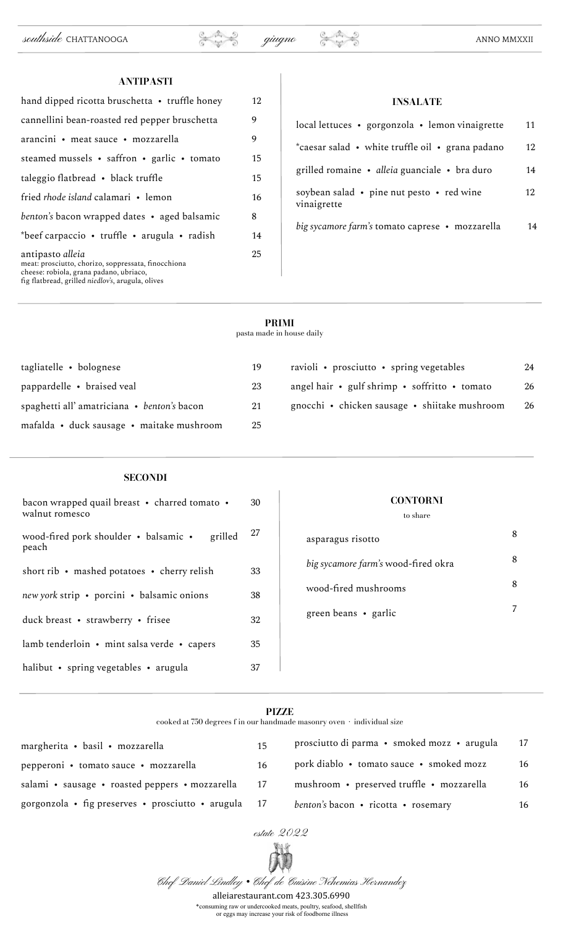| ANTIPASTI                                                                                                                                                               |    |
|-------------------------------------------------------------------------------------------------------------------------------------------------------------------------|----|
| hand dipped ricotta bruschetta $\cdot$ truffle honey                                                                                                                    | 12 |
| cannellini bean-roasted red pepper bruschetta                                                                                                                           | 9  |
| arancini • meat sauce • mozzarella                                                                                                                                      | 9  |
| steamed mussels • saffron • garlic • tomato                                                                                                                             | 15 |
| taleggio flatbread • black truffle                                                                                                                                      | 15 |
| fried <i>rhode island</i> calamari • lemon                                                                                                                              | 16 |
| benton's bacon wrapped dates • aged balsamic                                                                                                                            | 8  |
| *beef carpaccio • truffle • arugula • radish                                                                                                                            | 14 |
| antipasto alleia<br>meat: prosciutto, chorizo, soppressata, finocchiona<br>cheese: robiola, grana padano, ubriaco,<br>fig flatbread, grilled niedlov's, arugula, olives | 25 |

| IINDALIA IL                                              |    |
|----------------------------------------------------------|----|
| local lettuces • gorgonzola • lemon vinaigrette          | 11 |
| *caesar salad • white truffle oil • grana padano         | 12 |
| grilled romaine • alleia guanciale • bra duro            | 14 |
| soybean salad • pine nut pesto • red wine<br>vinaigrette | 12 |
| big sycamore farm's tomato caprese • mozzarella          | 14 |

# **PRIMI**

pasta made in house daily

| tagliatelle • bolognese                    | 19 | ravioli • prosciutto • spring vegetables      | 24 |
|--------------------------------------------|----|-----------------------------------------------|----|
| pappardelle • braised veal                 | 23 | angel hair • gulf shrimp • soffritto • tomato | 26 |
| spaghetti all'amatriciana • benton's bacon | 21 | gnocchi • chicken sausage • shiitake mushroom | 26 |
| mafalda • duck sausage • maitake mushroom  | 25 |                                               |    |

# **SECONDI**

| bacon wrapped quail breast • charred tomato •<br>walnut romesco | 30 |
|-----------------------------------------------------------------|----|
| wood-fired pork shoulder • balsamic •<br>grilled<br>peach       | 27 |
| short rib • mashed potatoes • cherry relish                     | 33 |
| new york strip • porcini • balsamic onions                      | 38 |
| duck breast • strawberry • frisee                               | 32 |
| lamb tenderloin • mint salsa verde • capers                     | 35 |
| halibut • spring vegetables • arugula                           | 37 |

# **CONTORNI**

to share

| asparagus risotto                   |  |
|-------------------------------------|--|
| big sycamore farm's wood-fired okra |  |
| wood-fired mushrooms                |  |
| green beans • garlic                |  |

# **PIZZE**

cooked at 750 degrees f in our handmade masonry oven  $\,\cdot\,$  individual size

| prosciutto di parma · smoked mozz · arugula<br>17 |
|---------------------------------------------------|
| 16                                                |
| 16                                                |
| 16                                                |
|                                                   |



Chef Daniel Lindley *•* Chef de Cuisine Nehemias Hernandez

alleiarestaurant.com 423.305.6990

\*consuming raw or undercooked meats, poultry, seafood, shellfish or eggs may increase your risk of foodborne illness